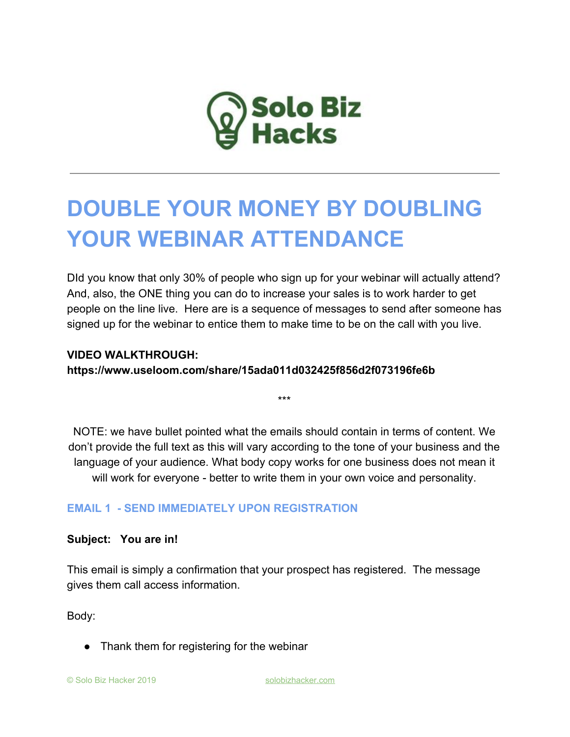

# **DOUBLE YOUR MONEY BY DOUBLING YOUR WEBINAR ATTENDANCE**

DId you know that only 30% of people who sign up for your webinar will actually attend? And, also, the ONE thing you can do to increase your sales is to work harder to get people on the line live. Here are is a sequence of messages to send after someone has signed up for the webinar to entice them to make time to be on the call with you live.

# **VIDEO WALKTHROUGH:**

**https://www.useloom.com/share/15ada011d032425f856d2f073196fe6b**

NOTE: we have bullet pointed what the emails should contain in terms of content. We don't provide the full text as this will vary according to the tone of your business and the language of your audience. What body copy works for one business does not mean it will work for everyone - better to write them in your own voice and personality.

\*\*\*

# **EMAIL 1 - SEND IMMEDIATELY UPON REGISTRATION**

#### **Subject: You are in!**

This email is simply a confirmation that your prospect has registered. The message gives them call access information.

Body:

• Thank them for registering for the webinar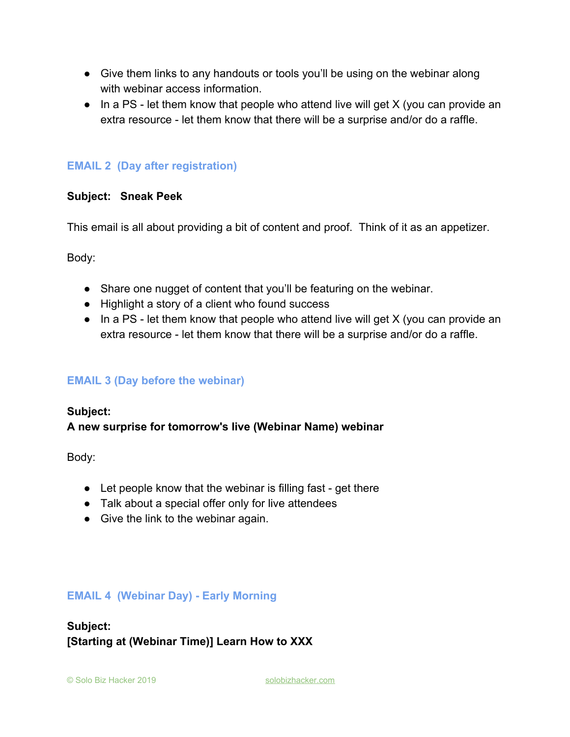- Give them links to any handouts or tools you'll be using on the webinar along with webinar access information.
- In a PS let them know that people who attend live will get X (you can provide an extra resource - let them know that there will be a surprise and/or do a raffle.

# **EMAIL 2 (Day after registration)**

#### **Subject: Sneak Peek**

This email is all about providing a bit of content and proof. Think of it as an appetizer.

Body:

- Share one nugget of content that you'll be featuring on the webinar.
- Highlight a story of a client who found success
- In a PS let them know that people who attend live will get X (you can provide an extra resource - let them know that there will be a surprise and/or do a raffle.

# **EMAIL 3 (Day before the webinar)**

#### **Subject:**

# **A new surprise for tomorrow's live (Webinar Name) webinar**

Body:

- Let people know that the webinar is filling fast get there
- Talk about a special offer only for live attendees
- Give the link to the webinar again.

# **EMAIL 4 (Webinar Day) - Early Morning**

# **Subject: [Starting at (Webinar Time)] Learn How to XXX**